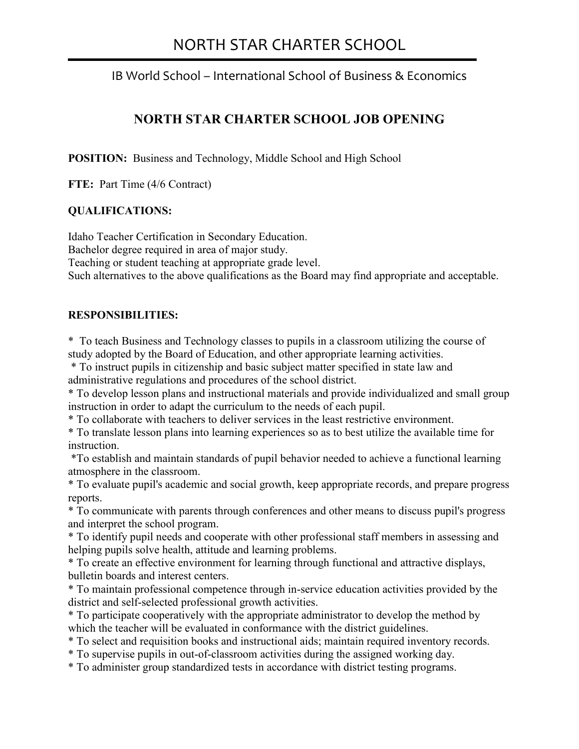# NORTH STAR CHARTER SCHOOL

j

IB World School – International School of Business & Economics

## **NORTH STAR CHARTER SCHOOL JOB OPENING**

**POSITION:** Business and Technology, Middle School and High School

**FTE:** Part Time (4/6 Contract)

#### **QUALIFICATIONS:**

Idaho Teacher Certification in Secondary Education. Bachelor degree required in area of major study. Teaching or student teaching at appropriate grade level. Such alternatives to the above qualifications as the Board may find appropriate and acceptable.

#### **RESPONSIBILITIES:**

\* To teach Business and Technology classes to pupils in a classroom utilizing the course of study adopted by the Board of Education, and other appropriate learning activities.

 \* To instruct pupils in citizenship and basic subject matter specified in state law and administrative regulations and procedures of the school district.

\* To develop lesson plans and instructional materials and provide individualized and small group instruction in order to adapt the curriculum to the needs of each pupil.

\* To collaborate with teachers to deliver services in the least restrictive environment.

\* To translate lesson plans into learning experiences so as to best utilize the available time for **instruction** 

 \*To establish and maintain standards of pupil behavior needed to achieve a functional learning atmosphere in the classroom.

\* To evaluate pupil's academic and social growth, keep appropriate records, and prepare progress reports.

\* To communicate with parents through conferences and other means to discuss pupil's progress and interpret the school program.

\* To identify pupil needs and cooperate with other professional staff members in assessing and helping pupils solve health, attitude and learning problems.

\* To create an effective environment for learning through functional and attractive displays, bulletin boards and interest centers.

\* To maintain professional competence through in-service education activities provided by the district and self-selected professional growth activities.

\* To participate cooperatively with the appropriate administrator to develop the method by which the teacher will be evaluated in conformance with the district guidelines.

\* To select and requisition books and instructional aids; maintain required inventory records.

\* To supervise pupils in out-of-classroom activities during the assigned working day.

\* To administer group standardized tests in accordance with district testing programs.